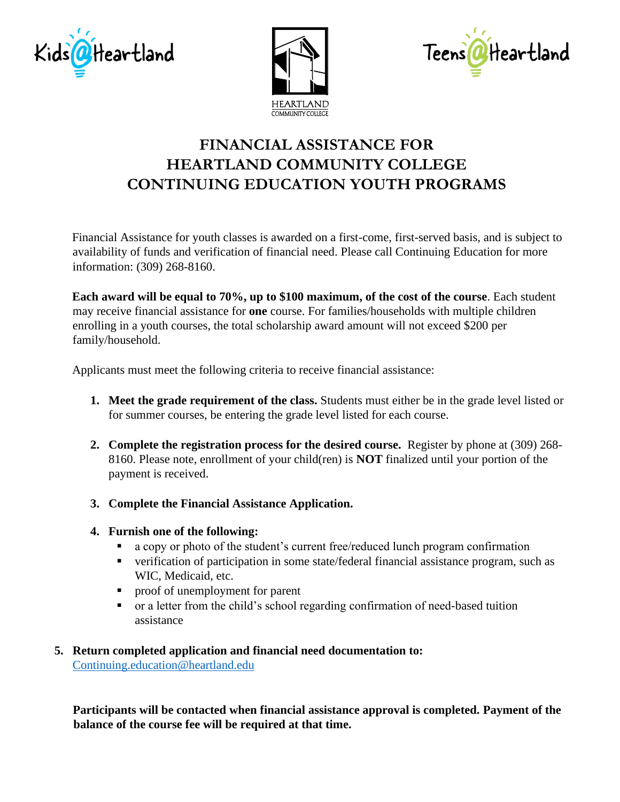





## **FINANCIAL ASSISTANCE FOR HEARTLAND COMMUNITY COLLEGE CONTINUING EDUCATION YOUTH PROGRAMS**

Financial Assistance for youth classes is awarded on a first-come, first-served basis, and is subject to availability of funds and verification of financial need. Please call Continuing Education for more information: (309) 268-8160.

**Each award will be equal to 70%, up to \$100 maximum, of the cost of the course**. Each student may receive financial assistance for **one** course. For families/households with multiple children enrolling in a youth courses, the total scholarship award amount will not exceed \$200 per family/household.

Applicants must meet the following criteria to receive financial assistance:

- **1. Meet the grade requirement of the class.** Students must either be in the grade level listed or for summer courses, be entering the grade level listed for each course.
- **2. Complete the registration process for the desired course.** Register by phone at (309) 268- 8160. Please note, enrollment of your child(ren) is **NOT** finalized until your portion of the payment is received.
- **3. Complete the Financial Assistance Application.**
- **4. Furnish one of the following:**
	- a copy or photo of the student's current free/reduced lunch program confirmation
	- verification of participation in some state/federal financial assistance program, such as WIC, Medicaid, etc.
	- proof of unemployment for parent
	- or a letter from the child's school regarding confirmation of need-based tuition assistance

## **5. Return completed application and financial need documentation to:** [Continuing.education@heartland.edu](mailto:Continuing.education@heartland.edu)

**Participants will be contacted when financial assistance approval is completed. Payment of the balance of the course fee will be required at that time.**